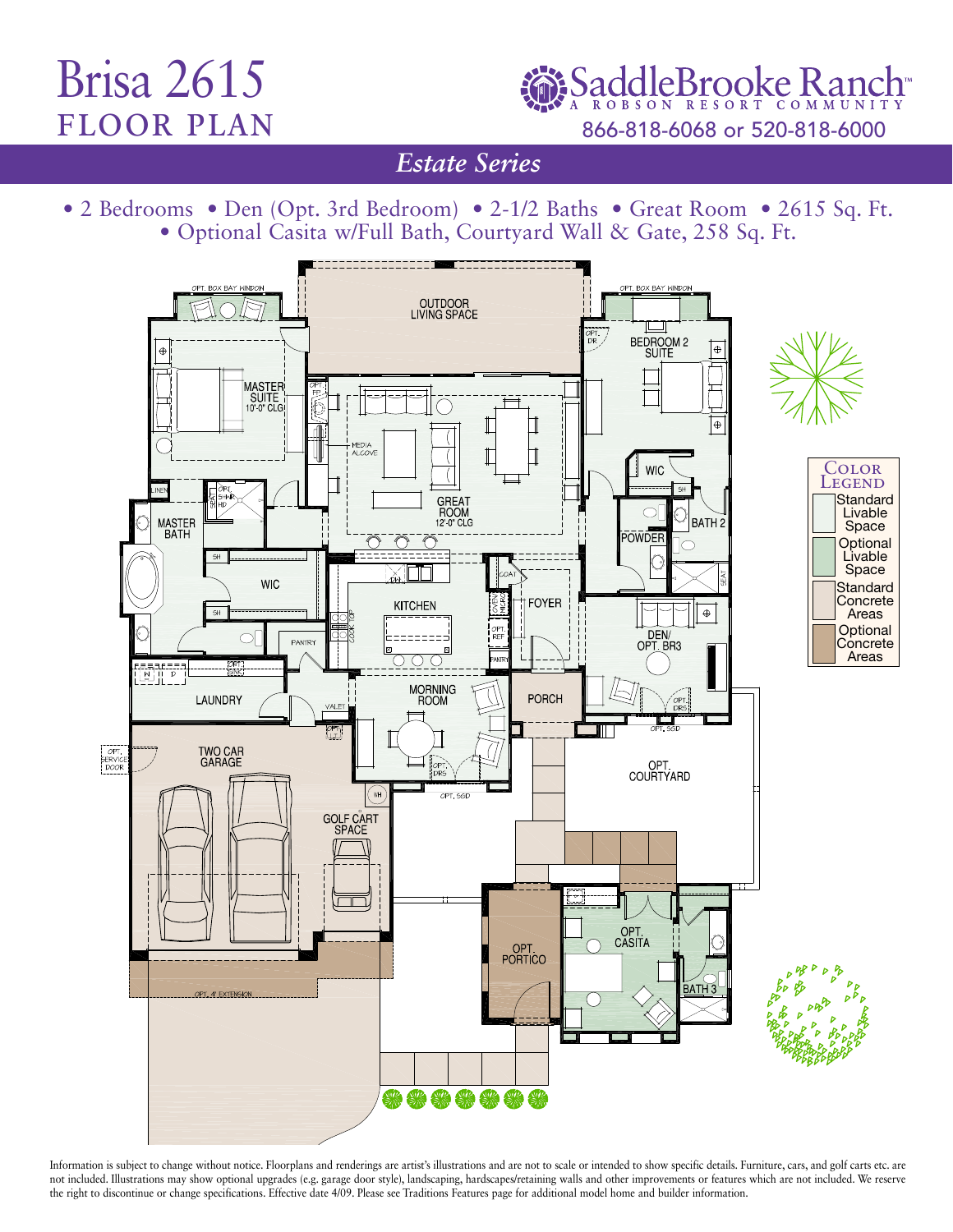## Brisa 2615 floor plan

SaddleBrooke Ranch 866-818-6068 or 520-818-6000

*Estate Series* 

• 2 Bedrooms • Den (Opt. 3rd Bedroom) • 2-1/2 Baths • Great Room • 2615 Sq. Ft. • Optional Casita w/Full Bath, Courtyard Wall & Gate, 258 Sq. Ft.



Information is subject to change without notice. Floorplans and renderings are artist's illustrations and are not to scale or intended to show specific details. Furniture, cars, and golf carts etc. are not included. Illustrations may show optional upgrades (e.g. garage door style), landscaping, hardscapes/retaining walls and other improvements or features which are not included. We reserve the right to discontinue or change specifications. Effective date 4/09. Please see Traditions Features page for additional model home and builder information.